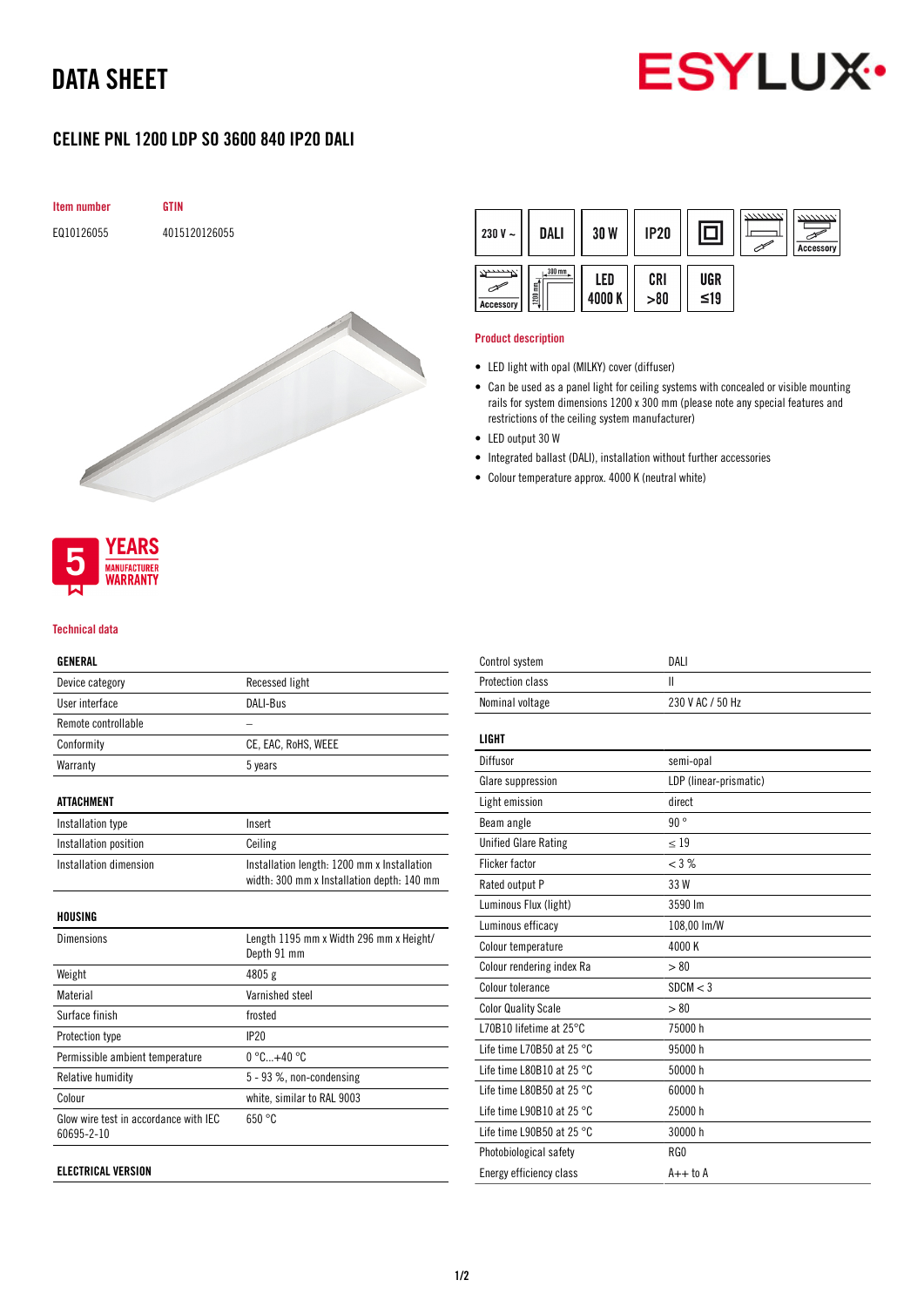# DATA SHEET



# CELINE PNL 1200 LDP SO 3600 840 IP20 DALI





#### Product description

- LED light with opal (MILKY) cover (diffuser)
- Can be used as a panel light for ceiling systems with concealed or visible mounting rails for system dimensions 1200 x 300 mm (please note any special features and restrictions of the ceiling system manufacturer)
- LED output 30 W
- Integrated ballast (DALI), installation without further accessories
- Colour temperature approx. 4000 K (neutral white)



#### Technical data

### GENERAL

| Device category                                     | Recessed light                                                                            |
|-----------------------------------------------------|-------------------------------------------------------------------------------------------|
| User interface                                      | DALI-Bus                                                                                  |
| Remote controllable                                 |                                                                                           |
| Conformity                                          | CE, EAC, RoHS, WEEE                                                                       |
| Warranty                                            | 5 years                                                                                   |
| <b>ATTACHMENT</b>                                   |                                                                                           |
| Installation type                                   | Insert                                                                                    |
| Installation position                               | Ceiling                                                                                   |
| Installation dimension                              | Installation length: 1200 mm x Installation<br>width: 300 mm x Installation depth: 140 mm |
| HOUSING                                             |                                                                                           |
| <b>Dimensions</b>                                   | Length 1195 mm x Width 296 mm x Height/<br>Depth 91 mm                                    |
| Weight                                              | 4805 g                                                                                    |
| Material                                            | Varnished steel                                                                           |
| Surface finish                                      | frosted                                                                                   |
| Protection type                                     | IP20                                                                                      |
| Permissible ambient temperature                     | $0^{\circ}$ C+40 $^{\circ}$ C                                                             |
| Relative humidity                                   | 5 - 93 %, non-condensing                                                                  |
| Colour                                              | white, similar to RAL 9003                                                                |
| Glow wire test in accordance with IEC<br>60695-2-10 | 650 °C                                                                                    |

| Control system                      | DAI I                  |
|-------------------------------------|------------------------|
| Protection class                    | Ш                      |
| Nominal voltage                     | 230 V AC / 50 Hz       |
| LIGHT                               |                        |
| Diffusor                            | semi-opal              |
| Glare suppression                   | LDP (linear-prismatic) |
| Light emission                      | direct                 |
| Beam angle                          | 90°                    |
| <b>Unified Glare Rating</b>         | < 19                   |
| <b>Flicker factor</b>               | $<$ 3 %                |
| Rated output P                      | 33 W                   |
| Luminous Flux (light)               | 3590 lm                |
| Luminous efficacy                   | 108,00 lm/W            |
| Colour temperature                  | 4000 K                 |
| Colour rendering index Ra           | > 80                   |
| Colour tolerance                    | SDCM < 3               |
| <b>Color Quality Scale</b>          | > 80                   |
| L70B10 lifetime at 25°C             | 75000 h                |
| Life time L70B50 at 25 $^{\circ}$ C | 95000 h                |
| Life time L80B10 at 25 $^{\circ}$ C | 50000 h                |
| Life time L80B50 at 25 $^{\circ}$ C | 60000 h                |
| Life time L90B10 at 25 $^{\circ}$ C | 25000 h                |
| Life time L90B50 at 25 $^{\circ}$ C | 30000 h                |
| Photobiological safety              | RG0                    |
| Energy efficiency class             | $A++$ to $A$           |
|                                     |                        |